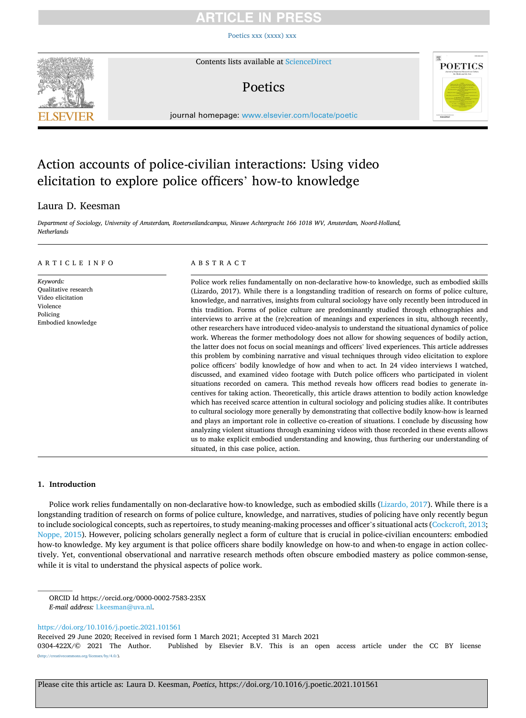# $CI$   $F<sub>1</sub>$

[Poetics xxx \(xxxx\) xxx](https://doi.org/10.1016/j.poetic.2021.101561)



Contents lists available at [ScienceDirect](www.sciencedirect.com/science/journal/0304422X)

# Poetics



journal homepage: [www.elsevier.com/locate/poetic](https://www.elsevier.com/locate/poetic)

# Action accounts of police-civilian interactions: Using video elicitation to explore police officers' how-to knowledge

### Laura D. Keesman

*Department of Sociology, University of Amsterdam, Roeterseilandcampus, Nieuwe Achtergracht 166 1018 WV, Amsterdam, Noord-Holland, Netherlands* 

### ARTICLE INFO

*Keywords:*  Qualitative research Video elicitation Violence Policing Embodied knowledge

### ABSTRACT

Police work relies fundamentally on non-declarative how-to knowledge, such as embodied skills (Lizardo, 2017). While there is a longstanding tradition of research on forms of police culture, knowledge, and narratives, insights from cultural sociology have only recently been introduced in this tradition. Forms of police culture are predominantly studied through ethnographies and interviews to arrive at the (re)creation of meanings and experiences in situ, although recently, other researchers have introduced video-analysis to understand the situational dynamics of police work. Whereas the former methodology does not allow for showing sequences of bodily action, the latter does not focus on social meanings and officers' lived experiences. This article addresses this problem by combining narrative and visual techniques through video elicitation to explore police officers' bodily knowledge of how and when to act*.* In 24 video interviews I watched, discussed, and examined video footage with Dutch police officers who participated in violent situations recorded on camera. This method reveals how officers read bodies to generate incentives for taking action. Theoretically, this article draws attention to bodily action knowledge which has received scarce attention in cultural sociology and policing studies alike. It contributes to cultural sociology more generally by demonstrating that collective bodily know-how is learned and plays an important role in collective co-creation of situations. I conclude by discussing how analyzing violent situations through examining videos with those recorded in these events allows us to make explicit embodied understanding and knowing, thus furthering our understanding of situated, in this case police, action.

### **1. Introduction**

Police work relies fundamentally on non-declarative how-to knowledge, such as embodied skills [\(Lizardo, 2017\)](#page-9-0). While there is a longstanding tradition of research on forms of police culture, knowledge, and narratives, studies of policing have only recently begun to include sociological concepts, such as repertoires, to study meaning-making processes and officer's situational acts [\(Cockcroft, 2013](#page-8-0); [Noppe, 2015](#page-9-0)). However, policing scholars generally neglect a form of culture that is crucial in police-civilian encounters: embodied how-to knowledge. My key argument is that police officers share bodily knowledge on how-to and when-to engage in action collectively. Yet, conventional observational and narrative research methods often obscure embodied mastery as police common-sense, while it is vital to understand the physical aspects of police work.

<https://doi.org/10.1016/j.poetic.2021.101561>

Received 29 June 2020; Received in revised form 1 March 2021; Accepted 31 March 2021

0304-422X/© 2021 The Author. Published by Elsevier B.V. This is an open access article under the CC BY license [\(http://creativecommons.org/licenses/by/4.0/\)](http://creativecommons.org/licenses/by/4.0/).

ORCID Id https://orcid.org/0000-0002-7583-235X *E-mail address:* [l.keesman@uva.nl.](mailto:l.keesman@uva.nl)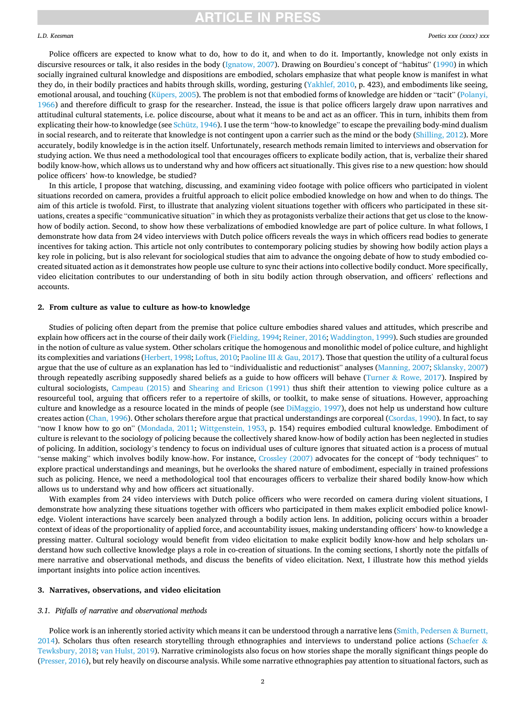#### *L.D. Keesman*

Police officers are expected to know what to do, how to do it, and when to do it. Importantly, knowledge not only exists in discursive resources or talk, it also resides in the body [\(Ignatow, 2007](#page-9-0)). Drawing on Bourdieu's concept of "habitus" ([1990\)](#page-8-0) in which socially ingrained cultural knowledge and dispositions are embodied, scholars emphasize that what people know is manifest in what they do, in their bodily practices and habits through skills, wording, gesturing ([Yakhlef, 2010](#page-9-0), p. 423), and embodiments like seeing, emotional arousal, and touching ([Küpers, 2005](#page-9-0)). The problem is not that embodied forms of knowledge are hidden or "tacit" ([Polanyi,](#page-9-0) [1966\)](#page-9-0) and therefore difficult to grasp for the researcher. Instead, the issue is that police officers largely draw upon narratives and attitudinal cultural statements, i.e. police discourse, about what it means to be and act as an officer. This in turn, inhibits them from explicating their how-to knowledge (see [Schütz, 1946\)](#page-9-0). I use the term "how-to knowledge" to escape the prevailing body-mind dualism in social research, and to reiterate that knowledge is not contingent upon a carrier such as the mind or the body ([Shilling, 2012\)](#page-9-0). More accurately, bodily knowledge is in the action itself. Unfortunately, research methods remain limited to interviews and observation for studying action. We thus need a methodological tool that encourages officers to explicate bodily action, that is, verbalize their shared bodily know-how, which allows us to understand why and how officers act situationally. This gives rise to a new question: how should police officers' how-to knowledge, be studied?

In this article, I propose that watching, discussing, and examining video footage with police officers who participated in violent situations recorded on camera, provides a fruitful approach to elicit police embodied knowledge on how and when to do things. The aim of this article is twofold. First, to illustrate that analyzing violent situations together with officers who participated in these situations, creates a specific "communicative situation" in which they as protagonists verbalize their actions that get us close to the knowhow of bodily action. Second, to show how these verbalizations of embodied knowledge are part of police culture. In what follows, I demonstrate how data from 24 video interviews with Dutch police officers reveals the ways in which officers read bodies to generate incentives for taking action. This article not only contributes to contemporary policing studies by showing how bodily action plays a key role in policing, but is also relevant for sociological studies that aim to advance the ongoing debate of how to study embodied cocreated situated action as it demonstrates how people use culture to sync their actions into collective bodily conduct. More specifically, video elicitation contributes to our understanding of both in situ bodily action through observation, and officers' reflections and accounts.

#### **2. From culture as value to culture as how-to knowledge**

Studies of policing often depart from the premise that police culture embodies shared values and attitudes, which prescribe and explain how officers act in the course of their daily work ([Fielding, 1994](#page-8-0); [Reiner, 2016; Waddington, 1999](#page-9-0)). Such studies are grounded in the notion of culture as value system. Other scholars critique the homogenous and monolithic model of police culture, and highlight its complexities and variations [\(Herbert, 1998](#page-9-0); [Loftus, 2010; Paoline III](#page-9-0) & Gau, 2017). Those that question the utility of a cultural focus argue that the use of culture as an explanation has led to "individualistic and reductionist" analyses [\(Manning, 2007; Sklansky, 2007](#page-9-0)) through repeatedly ascribing supposedly shared beliefs as a guide to how officers will behave (Turner & [Rowe, 2017](#page-9-0)). Inspired by cultural sociologists, [Campeau \(2015\)](#page-8-0) and [Shearing and Ericson \(1991\)](#page-9-0) thus shift their attention to viewing police culture as a resourceful tool, arguing that officers refer to a repertoire of skills, or toolkit, to make sense of situations. However, approaching culture and knowledge as a resource located in the minds of people (see [DiMaggio, 1997](#page-8-0)), does not help us understand how culture creates action [\(Chan, 1996](#page-8-0)). Other scholars therefore argue that practical understandings are corporeal [\(Csordas, 1990\)](#page-8-0). In fact, to say "now I know how to go on" ([Mondada, 2011](#page-9-0); [Wittgenstein, 1953](#page-9-0), p. 154) requires embodied cultural knowledge. Embodiment of culture is relevant to the sociology of policing because the collectively shared know-how of bodily action has been neglected in studies of policing. In addition, sociology's tendency to focus on individual uses of culture ignores that situated action is a process of mutual "sense making" which involves bodily know-how. For instance, [Crossley \(2007\)](#page-8-0) advocates for the concept of "body techniques" to explore practical understandings and meanings, but he overlooks the shared nature of embodiment, especially in trained professions such as policing. Hence, we need a methodological tool that encourages officers to verbalize their shared bodily know-how which allows us to understand why and how officers act situationally.

With examples from 24 video interviews with Dutch police officers who were recorded on camera during violent situations, I demonstrate how analyzing these situations together with officers who participated in them makes explicit embodied police knowledge. Violent interactions have scarcely been analyzed through a bodily action lens. In addition, policing occurs within a broader context of ideas of the proportionality of applied force, and accountability issues, making understanding officers' how-to knowledge a pressing matter. Cultural sociology would benefit from video elicitation to make explicit bodily know-how and help scholars understand how such collective knowledge plays a role in co-creation of situations. In the coming sections, I shortly note the pitfalls of mere narrative and observational methods, and discuss the benefits of video elicitation. Next, I illustrate how this method yields important insights into police action incentives*.* 

### **3. Narratives, observations, and video elicitation**

### *3.1. Pitfalls of narrative and observational methods*

Police work is an inherently storied activity which means it can be understood through a narrative lens ([Smith, Pedersen](#page-9-0) & Burnett, [2014\)](#page-9-0). Scholars thus often research storytelling through ethnographies and interviews to understand police actions ([Schaefer](#page-9-0)  $\&$ [Tewksbury, 2018; van Hulst, 2019\)](#page-9-0). Narrative criminologists also focus on how stories shape the morally significant things people do [\(Presser, 2016\)](#page-9-0), but rely heavily on discourse analysis. While some narrative ethnographies pay attention to situational factors, such as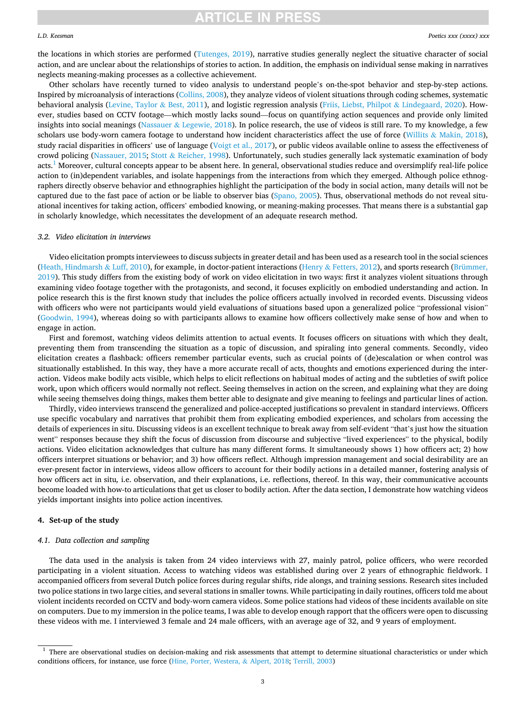#### *L.D. Keesman*

the locations in which stories are performed ([Tutenges, 2019\)](#page-9-0), narrative studies generally neglect the situative character of social action, and are unclear about the relationships of stories to action. In addition, the emphasis on individual sense making in narratives neglects meaning-making processes as a collective achievement.

Other scholars have recently turned to video analysis to understand people's on-the-spot behavior and step-by-step actions. Inspired by microanalysis of interactions [\(Collins, 2008\)](#page-8-0), they analyze videos of violent situations through coding schemes, systematic behavioral analysis [\(Levine, Taylor](#page-9-0) & Best, 2011), and logistic regression analysis [\(Friis, Liebst, Philpot](#page-8-0) & Lindegaard, 2020). However, studies based on CCTV footage—which mostly lacks sound—focus on quantifying action sequences and provide only limited insights into social meanings (Nassauer & [Legewie, 2018](#page-9-0)). In police research, the use of videos is still rare. To my knowledge, a few scholars use body-worn camera footage to understand how incident characteristics affect the use of force (Willits & [Makin, 2018](#page-9-0)), study racial disparities in officers' use of language ([Voigt et al., 2017\)](#page-9-0), or public videos available online to assess the effectiveness of crowd policing [\(Nassauer, 2015;](#page-9-0) Stott & [Reicher, 1998\)](#page-9-0). Unfortunately, such studies generally lack systematic examination of body acts.1 Moreover, cultural concepts appear to be absent here. In general, observational studies reduce and oversimplify real-life police action to (in)dependent variables, and isolate happenings from the interactions from which they emerged. Although police ethnographers directly observe behavior and ethnographies highlight the participation of the body in social action, many details will not be captured due to the fast pace of action or be liable to observer bias ([Spano, 2005\)](#page-9-0). Thus, observational methods do not reveal situational incentives for taking action, officers' embodied knowing, or meaning-making processes. That means there is a substantial gap in scholarly knowledge, which necessitates the development of an adequate research method.

### *3.2. Video elicitation in interviews*

Video elicitation prompts interviewees to discuss subjects in greater detail and has been used as a research tool in the social sciences [\(Heath, Hindmarsh](#page-8-0) & Luff, 2010), for example, in doctor-patient interactions (Henry & [Fetters, 2012](#page-9-0)), and sports research ([Brümmer,](#page-8-0) [2019\)](#page-8-0). This study differs from the existing body of work on video elicitation in two ways: first it analyzes violent situations through examining video footage together with the protagonists, and second, it focuses explicitly on embodied understanding and action. In police research this is the first known study that includes the police officers actually involved in recorded events. Discussing videos with officers who were not participants would yield evaluations of situations based upon a generalized police "professional vision" [\(Goodwin, 1994\)](#page-8-0), whereas doing so with participants allows to examine how officers collectively make sense of how and when to engage in action.

First and foremost, watching videos delimits attention to actual events. It focuses officers on situations with which they dealt, preventing them from transcending the situation as a topic of discussion, and spiraling into general comments. Secondly, video elicitation creates a flashback: officers remember particular events, such as crucial points of (de)escalation or when control was situationally established. In this way, they have a more accurate recall of acts, thoughts and emotions experienced during the interaction. Videos make bodily acts visible, which helps to elicit reflections on habitual modes of acting and the subtleties of swift police work, upon which officers would normally not reflect. Seeing themselves in action on the screen, and explaining what they are doing while seeing themselves doing things, makes them better able to designate and give meaning to feelings and particular lines of action.

Thirdly, video interviews transcend the generalized and police-accepted justifications so prevalent in standard interviews. Officers use specific vocabulary and narratives that prohibit them from explicating embodied experiences, and scholars from accessing the details of experiences in situ. Discussing videos is an excellent technique to break away from self-evident "that's just how the situation went" responses because they shift the focus of discussion from discourse and subjective "lived experiences" to the physical, bodily actions. Video elicitation acknowledges that culture has many different forms. It simultaneously shows 1) how officers act; 2) how officers interpret situations or behavior; and 3) how officers reflect. Although impression management and social desirability are an ever-present factor in interviews, videos allow officers to account for their bodily actions in a detailed manner, fostering analysis of how officers act in situ*,* i.e. observation, and their explanations, i.e. reflections, thereof. In this way, their communicative accounts become loaded with how-to articulations that get us closer to bodily action. After the data section, I demonstrate how watching videos yields important insights into police action incentives.

### **4. Set-up of the study**

### *4.1. Data collection and sampling*

The data used in the analysis is taken from 24 video interviews with 27, mainly patrol, police officers, who were recorded participating in a violent situation. Access to watching videos was established during over 2 years of ethnographic fieldwork. I accompanied officers from several Dutch police forces during regular shifts, ride alongs, and training sessions. Research sites included two police stations in two large cities, and several stations in smaller towns. While participating in daily routines, officers told me about violent incidents recorded on CCTV and body-worn camera videos. Some police stations had videos of these incidents available on site on computers. Due to my immersion in the police teams, I was able to develop enough rapport that the officers were open to discussing these videos with me. I interviewed 3 female and 24 male officers, with an average age of 32, and 9 years of employment.

<sup>&</sup>lt;sup>1</sup> There are observational studies on decision-making and risk assessments that attempt to determine situational characteristics or under which conditions officers, for instance, use force ([Hine, Porter, Westera,](#page-9-0) & Alpert, 2018; [Terrill, 2003](#page-9-0))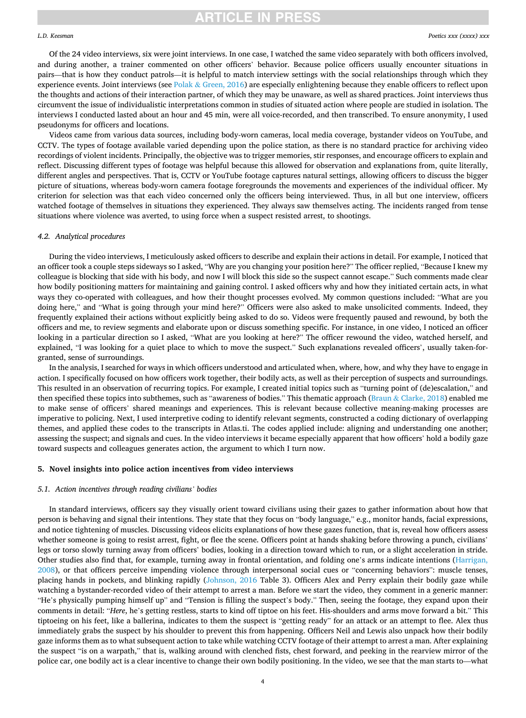### *L.D. Keesman*

Of the 24 video interviews, six were joint interviews. In one case, I watched the same video separately with both officers involved, and during another, a trainer commented on other officers' behavior. Because police officers usually encounter situations in pairs—that is how they conduct patrols—it is helpful to match interview settings with the social relationships through which they experience events. Joint interviews (see Polak & [Green, 2016\)](#page-9-0) are especially enlightening because they enable officers to reflect upon the thoughts and actions of their interaction partner, of which they may be unaware, as well as shared practices. Joint interviews thus circumvent the issue of individualistic interpretations common in studies of situated action where people are studied in isolation. The interviews I conducted lasted about an hour and 45 min, were all voice-recorded, and then transcribed. To ensure anonymity, I used pseudonyms for officers and locations.

Videos came from various data sources, including body-worn cameras, local media coverage, bystander videos on YouTube, and CCTV. The types of footage available varied depending upon the police station, as there is no standard practice for archiving video recordings of violent incidents. Principally, the objective was to trigger memories, stir responses, and encourage officers to explain and reflect. Discussing different types of footage was helpful because this allowed for observation and explanations from, quite literally, different angles and perspectives. That is, CCTV or YouTube footage captures natural settings, allowing officers to discuss the bigger picture of situations, whereas body-worn camera footage foregrounds the movements and experiences of the individual officer. My criterion for selection was that each video concerned only the officers being interviewed. Thus, in all but one interview, officers watched footage of themselves in situations they experienced. They always saw themselves acting. The incidents ranged from tense situations where violence was averted, to using force when a suspect resisted arrest, to shootings.

### *4.2. Analytical procedures*

During the video interviews, I meticulously asked officers to describe and explain their actions in detail. For example, I noticed that an officer took a couple steps sideways so I asked, "Why are you changing your position here?" The officer replied, "Because I knew my colleague is blocking that side with his body, and now I will block this side so the suspect cannot escape." Such comments made clear how bodily positioning matters for maintaining and gaining control. I asked officers why and how they initiated certain acts, in what ways they co-operated with colleagues, and how their thought processes evolved. My common questions included: "What are you doing here," and "What is going through your mind here?" Officers were also asked to make unsolicited comments. Indeed, they frequently explained their actions without explicitly being asked to do so. Videos were frequently paused and rewound, by both the officers and me, to review segments and elaborate upon or discuss something specific. For instance, in one video, I noticed an officer looking in a particular direction so I asked, "What are you looking at here?" The officer rewound the video, watched herself, and explained, "I was looking for a quiet place to which to move the suspect." Such explanations revealed officers', usually taken-forgranted, sense of surroundings.

In the analysis, I searched for ways in which officers understood and articulated when, where, how, and why they have to engage in action. I specifically focused on how officers work together, their bodily acts, as well as their perception of suspects and surroundings. This resulted in an observation of recurring topics. For example, I created initial topics such as "turning point of (de)escalation," and then specified these topics into subthemes, such as "awareness of bodies." This thematic approach (Braun & [Clarke, 2018](#page-8-0)) enabled me to make sense of officers' shared meanings and experiences. This is relevant because collective meaning-making processes are imperative to policing. Next, I used interpretive coding to identify relevant segments, constructed a coding dictionary of overlapping themes, and applied these codes to the transcripts in Atlas.ti. The codes applied include: aligning and understanding one another; assessing the suspect; and signals and cues. In the video interviews it became especially apparent that how officers' hold a bodily gaze toward suspects and colleagues generates action, the argument to which I turn now.

### **5. Novel insights into police action incentives from video interviews**

### *5.1. Action incentives through reading civilians' bodies*

In standard interviews, officers say they visually orient toward civilians using their gazes to gather information about how that person is behaving and signal their intentions. They state that they focus on "body language," e.g., monitor hands, facial expressions, and notice tightening of muscles. Discussing videos elicits explanations of how these gazes function, that is, reveal how officers assess whether someone is going to resist arrest, fight, or flee the scene. Officers point at hands shaking before throwing a punch, civilians' legs or torso slowly turning away from officers' bodies, looking in a direction toward which to run, or a slight acceleration in stride. Other studies also find that, for example, turning away in frontal orientation, and folding one's arms indicate intentions ([Harrigan,](#page-8-0) [2008\)](#page-8-0), or that officers perceive impending violence through interpersonal social cues or "concerning behaviors": muscle tenses, placing hands in pockets, and blinking rapidly ([Johnson, 2016](#page-9-0) Table 3). Officers Alex and Perry explain their bodily gaze while watching a bystander-recorded video of their attempt to arrest a man. Before we start the video, they comment in a generic manner: "He's physically pumping himself up" and "Tension is filling the suspect's body." Then, seeing the footage, they expand upon their comments in detail: "*Here*, he's getting restless, starts to kind off tiptoe on his feet. His-shoulders and arms move forward a bit." This tiptoeing on his feet, like a ballerina, indicates to them the suspect is "getting ready" for an attack or an attempt to flee. Alex thus immediately grabs the suspect by his shoulder to prevent this from happening. Officers Neil and Lewis also unpack how their bodily gaze informs them as to what subsequent action to take while watching CCTV footage of their attempt to arrest a man. After explaining the suspect "is on a warpath," that is, walking around with clenched fists, chest forward, and peeking in the rearview mirror of the police car, one bodily act is a clear incentive to change their own bodily positioning. In the video, we see that the man starts to—what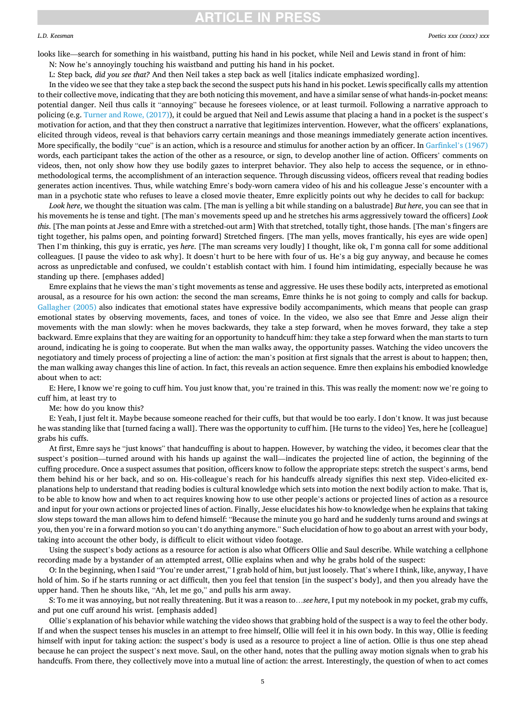#### *L.D. Keesman*

looks like—search for something in his waistband, putting his hand in his pocket, while Neil and Lewis stand in front of him:

N: Now he's annoyingly touching his waistband and putting his hand in his pocket.

L: Step back*, did you see that?* And then Neil takes a step back as well [italics indicate emphasized wording].

In the video we see that they take a step back the second the suspect puts his hand in his pocket. Lewis specifically calls my attention to their collective move, indicating that they are both noticing this movement, and have a similar sense of what hands-in-pocket means: potential danger. Neil thus calls it "annoying" because he foresees violence, or at least turmoil. Following a narrative approach to policing (e.g. [Turner and Rowe, \(2017\)](#page-9-0)), it could be argued that Neil and Lewis assume that placing a hand in a pocket is the suspect's motivation for action, and that they then construct a narrative that legitimizes intervention. However, what the officers' explanations, elicited through videos, reveal is that behaviors carry certain meanings and those meanings immediately generate action incentives. More specifically, the bodily "cue" is an action, which is a resource and stimulus for another action by an officer. In [Garfinkel](#page-8-0)'s (1967) words, each participant takes the action of the other as a resource, or sign, to develop another line of action. Officers' comments on videos, then, not only show how they use bodily gazes to interpret behavior. They also help to access the sequence, or in ethnomethodological terms, the accomplishment of an interaction sequence. Through discussing videos, officers reveal that reading bodies generates action incentives. Thus, while watching Emre's body-worn camera video of his and his colleague Jesse's encounter with a man in a psychotic state who refuses to leave a closed movie theater, Emre explicitly points out why he decides to call for backup:

*Look here*, we thought the situation was calm. [The man is yelling a bit while standing on a balustrade] *But here*, you can see that in his movements he is tense and tight. [The man's movements speed up and he stretches his arms aggressively toward the officers] *Look this*. [The man points at Jesse and Emre with a stretched-out arm] With that stretched, totally tight, those hands. [The man's fingers are tight together, his palms open, and pointing forward] Stretched fingers. [The man yells, moves frantically, his eyes are wide open] Then I'm thinking, this guy is erratic, yes *here*. [The man screams very loudly] I thought, like ok, I'm gonna call for some additional colleagues. [I pause the video to ask why]. It doesn't hurt to be here with four of us. He's a big guy anyway, and because he comes across as unpredictable and confused, we couldn't establish contact with him. I found him intimidating, especially because he was standing up there. [emphases added]

Emre explains that he views the man's tight movements as tense and aggressive. He uses these bodily acts, interpreted as emotional arousal, as a resource for his own action: the second the man screams, Emre thinks he is not going to comply and calls for backup. [Gallagher \(2005\)](#page-8-0) also indicates that emotional states have expressive bodily accompaniments, which means that people can grasp emotional states by observing movements, faces, and tones of voice. In the video, we also see that Emre and Jesse align their movements with the man slowly: when he moves backwards, they take a step forward, when he moves forward, they take a step backward. Emre explains that they are waiting for an opportunity to handcuff him: they take a step forward when the man starts to turn around, indicating he is going to cooperate. But when the man walks away, the opportunity passes. Watching the video uncovers the negotiatory and timely process of projecting a line of action: the man's position at first signals that the arrest is about to happen; then, the man walking away changes this line of action. In fact, this reveals an action sequence. Emre then explains his embodied knowledge about when to act:

E: Here, I know we're going to cuff him. You just know that, you're trained in this. This was really the moment: now we're going to cuff him, at least try to

Me: how do you know this?

E: Yeah, I just felt it. Maybe because someone reached for their cuffs, but that would be too early. I don't know. It was just because he was standing like that [turned facing a wall]. There was the opportunity to cuff him. [He turns to the video] Yes, here he [colleague] grabs his cuffs.

At first, Emre says he "just knows" that handcuffing is about to happen. However, by watching the video, it becomes clear that the suspect's position—turned around with his hands up against the wall—indicates the projected line of action, the beginning of the cuffing procedure. Once a suspect assumes that position, officers know to follow the appropriate steps: stretch the suspect's arms, bend them behind his or her back, and so on. His-colleague's reach for his handcuffs already signifies this next step. Video-elicited explanations help to understand that reading bodies is cultural knowledge which sets into motion the next bodily action to make. That is, to be able to know how and when to act requires knowing how to use other people's actions or projected lines of action as a resource and input for your own actions or projected lines of action. Finally, Jesse elucidates his how-to knowledge when he explains that taking slow steps toward the man allows him to defend himself: "Because the minute you go hard and he suddenly turns around and swings at you, then you're in a forward motion so you can't do anything anymore." Such elucidation of how to go about an arrest with your body, taking into account the other body, is difficult to elicit without video footage.

Using the suspect's body actions as a resource for action is also what Officers Ollie and Saul describe. While watching a cellphone recording made by a bystander of an attempted arrest, Ollie explains when and why he grabs hold of the suspect:

O: In the beginning, when I said "You're under arrest," I grab hold of him, but just loosely. That's where I think, like, anyway, I have hold of him. So if he starts running or act difficult, then you feel that tension [in the suspect's body], and then you already have the upper hand. Then he shouts like, "Ah, let me go," and pulls his arm away.

S: To me it was annoying, but not really threatening. But it was a reason to…*see here*, I put my notebook in my pocket, grab my cuffs, and put one cuff around his wrist. [emphasis added]

Ollie's explanation of his behavior while watching the video shows that grabbing hold of the suspect is a way to feel the other body. If and when the suspect tenses his muscles in an attempt to free himself, Ollie will feel it in his own body. In this way, Ollie is feeding himself with input for taking action: the suspect's body is used as a resource to project a line of action. Ollie is thus one step ahead because he can project the suspect's next move. Saul, on the other hand, notes that the pulling away motion signals when to grab his handcuffs. From there, they collectively move into a mutual line of action: the arrest. Interestingly, the question of when to act comes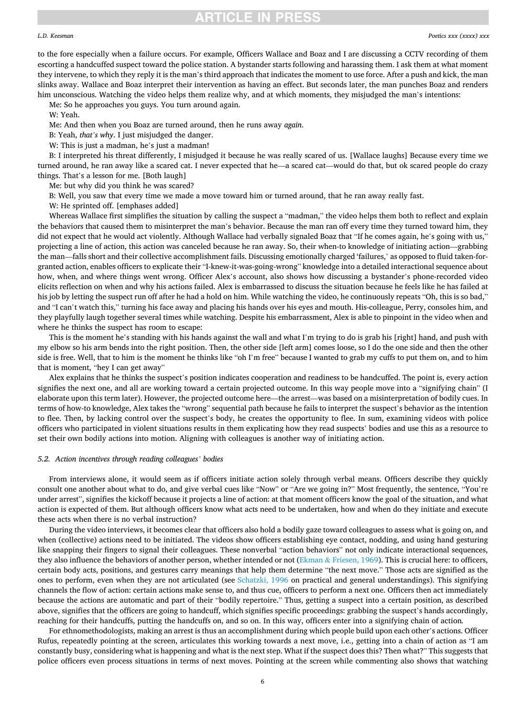#### *L.D. Keesman*

to the fore especially when a failure occurs. For example, Officers Wallace and Boaz and I are discussing a CCTV recording of them escorting a handcuffed suspect toward the police station. A bystander starts following and harassing them. I ask them at what moment they intervene, to which they reply it is the man's third approach that indicates the moment to use force. After a push and kick, the man slinks away. Wallace and Boaz interpret their intervention as having an effect. But seconds later, the man punches Boaz and renders him unconscious. Watching the video helps them realize why, and at which moments, they misjudged the man's intentions:

Me: So he approaches you guys. You turn around again.

W: Yeah.

Me: And then when you Boaz are turned around, then he runs away *again*.

B: Yeah, *that's why*. I just misjudged the danger.

W: This is just a madman, he's just a madman!

B: I interpreted his threat differently, I misjudged it because he was really scared of us. [Wallace laughs] Because every time we turned around, he ran away like a scared cat. I never expected that he—a scared cat—would do that, but ok scared people do crazy things. That's a lesson for me. [Both laugh]

Me: but why did you think he was scared?

B: Well, you saw that every time we made a move toward him or turned around, that he ran away really fast.

W: He sprinted off. [emphases added]

Whereas Wallace first simplifies the situation by calling the suspect a "madman," the video helps them both to reflect and explain the behaviors that caused them to misinterpret the man's behavior. Because the man ran off every time they turned toward him, they did not expect that he would act violently. Although Wallace had verbally signaled Boaz that "If he comes again, he's going with us," projecting a line of action, this action was canceled because he ran away. So, their when-to knowledge of initiating action—grabbing the man—falls short and their collective accomplishment fails. Discussing emotionally charged 'failures,' as opposed to fluid taken-forgranted action, enables officers to explicate their "I-knew-it-was-going-wrong" knowledge into a detailed interactional sequence about how, when, and where things went wrong. Officer Alex's account, also shows how discussing a bystander's phone-recorded video elicits reflection on when and why his actions failed. Alex is embarrassed to discuss the situation because he feels like he has failed at his job by letting the suspect run off after he had a hold on him. While watching the video, he continuously repeats "Oh, this is so bad," and "I can't watch this," turning his face away and placing his hands over his eyes and mouth. His-colleague, Perry, consoles him, and they playfully laugh together several times while watching. Despite his embarrassment, Alex is able to pinpoint in the video when and where he thinks the suspect has room to escape:

This is the moment he's standing with his hands against the wall and what I'm trying to do is grab his [right] hand, and push with my elbow so his arm bends into the right position. Then, the other side [left arm] comes loose, so I do the one side and then the other side is free. Well, that to him is the moment he thinks like "oh I'm free" because I wanted to grab my cuffs to put them on, and to him that is moment, "hey I can get away"

Alex explains that he thinks the suspect's position indicates cooperation and readiness to be handcuffed. The point is, every action signifies the next one, and all are working toward a certain projected outcome. In this way people move into a "signifying chain" (I elaborate upon this term later). However, the projected outcome here—the arrest—was based on a misinterpretation of bodily cues. In terms of how-to knowledge, Alex takes the "wrong" sequential path because he fails to interpret the suspect's behavior as the intention to flee. Then, by lacking control over the suspect's body, he creates the opportunity to flee. In sum, examining videos with police officers who participated in violent situations results in them explicating how they read suspects' bodies and use this as a resource to set their own bodily actions into motion. Aligning with colleagues is another way of initiating action.

### *5.2. Action incentives through reading colleagues' bodies*

From interviews alone, it would seem as if officers initiate action solely through verbal means. Officers describe they quickly consult one another about what to do, and give verbal cues like "Now" or "Are we going in?" Most frequently, the sentence, "You're under arrest", signifies the kickoff because it projects a line of action: at that moment officers know the goal of the situation, and what action is expected of them. But although officers know what acts need to be undertaken, how and when do they initiate and execute these acts when there is no verbal instruction?

During the video interviews, it becomes clear that officers also hold a bodily gaze toward colleagues to assess what is going on, and when (collective) actions need to be initiated. The videos show officers establishing eye contact, nodding, and using hand gesturing like snapping their fingers to signal their colleagues. These nonverbal "action behaviors" not only indicate interactional sequences, they also influence the behaviors of another person, whether intended or not (Ekman & [Friesen, 1969\)](#page-8-0). This is crucial here: to officers, certain body acts, positions, and gestures carry meanings that help them determine "the next move." Those acts are signified as the ones to perform, even when they are not articulated (see [Schatzki, 1996](#page-9-0) on practical and general understandings). This signifying channels the flow of action: certain actions make sense to, and thus cue, officers to perform a next one. Officers then act immediately because the actions are automatic and part of their "bodily repertoire." Thus, getting a suspect into a certain position, as described above, signifies that the officers are going to handcuff, which signifies specific proceedings: grabbing the suspect's hands accordingly, reaching for their handcuffs, putting the handcuffs on, and so on. In this way, officers enter into a signifying chain of action*.* 

For ethnomethodologists, making an arrest is thus an accomplishment during which people build upon each other's actions. Officer Rufus, repeatedly pointing at the screen, articulates this working towards a next move, i.e., getting into a chain of action as "I am constantly busy, considering what is happening and what is the next step. What if the suspect does this? Then what?" This suggests that police officers even process situations in terms of next moves. Pointing at the screen while commenting also shows that watching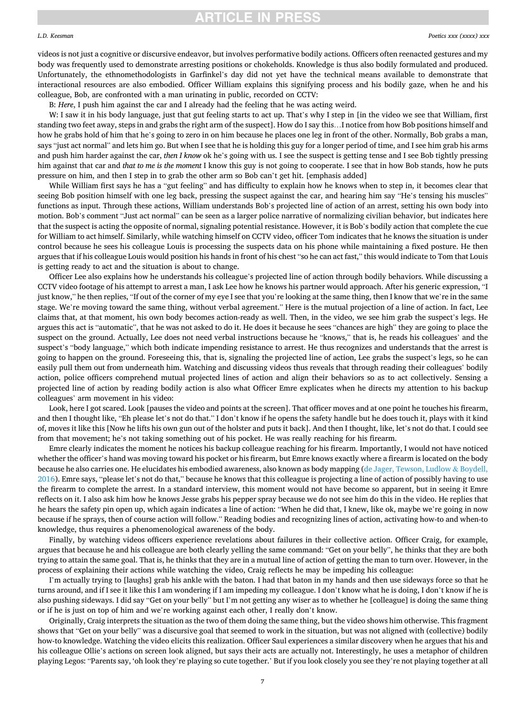#### *L.D. Keesman*

videos is not just a cognitive or discursive endeavor, but involves performative bodily actions. Officers often reenacted gestures and my body was frequently used to demonstrate arresting positions or chokeholds. Knowledge is thus also bodily formulated and produced. Unfortunately, the ethnomethodologists in Garfinkel's day did not yet have the technical means available to demonstrate that interactional resources are also embodied. Officer William explains this signifying process and his bodily gaze, when he and his colleague, Bob, are confronted with a man urinating in public, recorded on CCTV:

B: *Here*, I push him against the car and I already had the feeling that he was acting weird.

W: I saw it in his body language, just that gut feeling starts to act up. That's why I step in [in the video we see that William, first standing two feet away, steps in and grabs the right arm of the suspect]. How do I say this…I notice from how Bob positions himself and how he grabs hold of him that he's going to zero in on him because he places one leg in front of the other. Normally, Bob grabs a man, says "just act normal" and lets him go. But when I see that he is holding this guy for a longer period of time, and I see him grab his arms and push him harder against the car, *then I know* ok he's going with us. I see the suspect is getting tense and I see Bob tightly pressing him against that car and *that to me is the moment* I know this guy is not going to cooperate. I see that in how Bob stands, how he puts pressure on him, and then I step in to grab the other arm so Bob can't get hit. [emphasis added]

While William first says he has a "gut feeling" and has difficulty to explain how he knows when to step in, it becomes clear that seeing Bob position himself with one leg back, pressing the suspect against the car, and hearing him say "He's tensing his muscles" functions as input. Through these actions, William understands Bob's projected line of action of an arrest, setting his own body into motion. Bob's comment "Just act normal" can be seen as a larger police narrative of normalizing civilian behavior, but indicates here that the suspect is acting the opposite of normal, signaling potential resistance. However, it is Bob's bodily action that complete the cue for William to act himself. Similarly, while watching himself on CCTV video, officer Tom indicates that he knows the situation is under control because he sees his colleague Louis is processing the suspects data on his phone while maintaining a fixed posture. He then argues that if his colleague Louis would position his hands in front of his chest "so he can act fast," this would indicate to Tom that Louis is getting ready to act and the situation is about to change.

Officer Lee also explains how he understands his colleague's projected line of action through bodily behaviors. While discussing a CCTV video footage of his attempt to arrest a man, I ask Lee how he knows his partner would approach. After his generic expression, "I just know," he then replies, "If out of the corner of my eye I see that you're looking at the same thing, then I know that we're in the same stage. We're moving toward the same thing, without verbal agreement." Here is the mutual projection of a line of action. In fact, Lee claims that, at that moment, his own body becomes action-ready as well. Then, in the video, we see him grab the suspect's legs. He argues this act is "automatic", that he was not asked to do it. He does it because he sees "chances are high" they are going to place the suspect on the ground. Actually, Lee does not need verbal instructions because he "knows," that is, he reads his colleagues' and the suspect's "body language," which both indicate impending resistance to arrest. He thus recognizes and understands that the arrest is going to happen on the ground. Foreseeing this, that is, signaling the projected line of action, Lee grabs the suspect's legs, so he can easily pull them out from underneath him. Watching and discussing videos thus reveals that through reading their colleagues' bodily action, police officers comprehend mutual projected lines of action and align their behaviors so as to act collectively. Sensing a projected line of action by reading bodily action is also what Officer Emre explicates when he directs my attention to his backup colleagues' arm movement in his video:

Look, here I got scared. Look [pauses the video and points at the screen]. That officer moves and at one point he touches his firearm, and then I thought like, "Eh please let's not do that." I don't know if he opens the safety handle but he does touch it, plays with it kind of, moves it like this [Now he lifts his own gun out of the holster and puts it back]. And then I thought, like, let's not do that. I could see from that movement; he's not taking something out of his pocket. He was really reaching for his firearm.

Emre clearly indicates the moment he notices his backup colleague reaching for his firearm. Importantly, I would not have noticed whether the officer's hand was moving toward his pocket or his firearm, but Emre knows exactly where a firearm is located on the body because he also carries one. He elucidates his embodied awareness, also known as body mapping ([de Jager, Tewson, Ludlow](#page-8-0) & Boydell, [2016\)](#page-8-0). Emre says, "please let's not do that," because he knows that this colleague is projecting a line of action of possibly having to use the firearm to complete the arrest. In a standard interview, this moment would not have become so apparent, but in seeing it Emre reflects on it. I also ask him how he knows Jesse grabs his pepper spray because we do not see him do this in the video. He replies that he hears the safety pin open up, which again indicates a line of action: "When he did that, I knew, like ok, maybe we're going in now because if he sprays, then of course action will follow." Reading bodies and recognizing lines of action, activating how-to and when-to knowledge, thus requires a phenomenological awareness of the body.

Finally, by watching videos officers experience revelations about failures in their collective action. Officer Craig, for example, argues that because he and his colleague are both clearly yelling the same command: "Get on your belly", he thinks that they are both trying to attain the same goal. That is, he thinks that they are in a mutual line of action of getting the man to turn over. However, in the process of explaining their actions while watching the video, Craig reflects he may be impeding his colleague:

I'm actually trying to [laughs] grab his ankle with the baton. I had that baton in my hands and then use sideways force so that he turns around, and if I see it like this I am wondering if I am impeding my colleague. I don't know what he is doing, I don't know if he is also pushing sideways. I did say "Get on your belly" but I'm not getting any wiser as to whether he [colleague] is doing the same thing or if he is just on top of him and we're working against each other, I really don't know.

Originally, Craig interprets the situation as the two of them doing the same thing, but the video shows him otherwise. This fragment shows that "Get on your belly" was a discursive goal that seemed to work in the situation, but was not aligned with (collective) bodily how-to knowledge. Watching the video elicits this realization. Officer Saul experiences a similar discovery when he argues that his and his colleague Ollie's actions on screen look aligned, but says their acts are actually not. Interestingly, he uses a metaphor of children playing Legos: "Parents say, 'oh look they're playing so cute together.' But if you look closely you see they're not playing together at all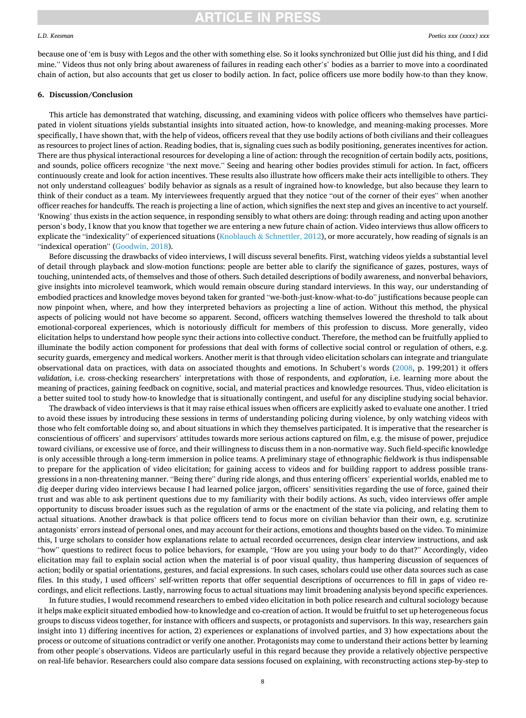#### *L.D. Keesman*

### **RTICLE IN PRESS**

because one of 'em is busy with Legos and the other with something else. So it looks synchronized but Ollie just did his thing, and I did mine." Videos thus not only bring about awareness of failures in reading each other's' bodies as a barrier to move into a coordinated chain of action, but also accounts that get us closer to bodily action. In fact, police officers use more bodily how-to than they know.

### **6. Discussion/Conclusion**

This article has demonstrated that watching, discussing, and examining videos with police officers who themselves have participated in violent situations yields substantial insights into situated action, how-to knowledge, and meaning-making processes. More specifically, I have shown that, with the help of videos, officers reveal that they use bodily actions of both civilians and their colleagues as resources to project lines of action. Reading bodies, that is, signaling cues such as bodily positioning, generates incentives for action. There are thus physical interactional resources for developing a line of action: through the recognition of certain bodily acts, positions, and sounds, police officers recognize "the next move." Seeing and hearing other bodies provides stimuli for action. In fact, officers continuously create and look for action incentives. These results also illustrate how officers make their acts intelligible to others. They not only understand colleagues' bodily behavior as signals as a result of ingrained how-to knowledge, but also because they learn to think of their conduct as a team. My interviewees frequently argued that they notice "out of the corner of their eyes" when another officer reaches for handcuffs. The reach is projecting a line of action, which signifies the next step and gives an incentive to act yourself. 'Knowing' thus exists in the action sequence, in responding sensibly to what others are doing: through reading and acting upon another person's body, I know that you know that together we are entering a new future chain of action. Video interviews thus allow officers to explicate the "indexicality" of experienced situations (Knoblauch & [Schnettler, 2012\)](#page-9-0), or more accurately, how reading of signals is an "indexical operation" ([Goodwin, 2018](#page-8-0)).

Before discussing the drawbacks of video interviews, I will discuss several benefits. First, watching videos yields a substantial level of detail through playback and slow-motion functions: people are better able to clarify the significance of gazes, postures, ways of touching, unintended acts, of themselves and those of others. Such detailed descriptions of bodily awareness, and nonverbal behaviors, give insights into microlevel teamwork, which would remain obscure during standard interviews. In this way, our understanding of embodied practices and knowledge moves beyond taken for granted "we-both-just-know-what-to-do" justifications because people can now pinpoint when, where, and how they interpreted behaviors as projecting a line of action. Without this method, the physical aspects of policing would not have become so apparent. Second, officers watching themselves lowered the threshold to talk about emotional-corporeal experiences, which is notoriously difficult for members of this profession to discuss. More generally, video elicitation helps to understand how people sync their actions into collective conduct. Therefore, the method can be fruitfully applied to illuminate the bodily action component for professions that deal with forms of collective social control or regulation of others, e.g. security guards, emergency and medical workers. Another merit is that through video elicitation scholars can integrate and triangulate observational data on practices, with data on associated thoughts and emotions. In Schubert's words [\(2008](#page-9-0), p. 199;201) it offers *validation*, i.e. cross-checking researchers' interpretations with those of respondents, and *exploration*, i.e. learning more about the meaning of practices, gaining feedback on cognitive, social, and material practices and knowledge resources. Thus, video elicitation is a better suited tool to study how-to knowledge that is situationally contingent, and useful for any discipline studying social behavior.

The drawback of video interviews is that it may raise ethical issues when officers are explicitly asked to evaluate one another. I tried to avoid these issues by introducing these sessions in terms of understanding policing during violence, by only watching videos with those who felt comfortable doing so, and about situations in which they themselves participated. It is imperative that the researcher is conscientious of officers' and supervisors' attitudes towards more serious actions captured on film, e.g. the misuse of power, prejudice toward civilians, or excessive use of force, and their willingness to discuss them in a non-normative way. Such field-specific knowledge is only accessible through a long-term immersion in police teams. A preliminary stage of ethnographic fieldwork is thus indispensable to prepare for the application of video elicitation; for gaining access to videos and for building rapport to address possible transgressions in a non-threatening manner. "Being there" during ride alongs, and thus entering officers' experiential worlds, enabled me to dig deeper during video interviews because I had learned police jargon, officers' sensitivities regarding the use of force, gained their trust and was able to ask pertinent questions due to my familiarity with their bodily actions. As such, video interviews offer ample opportunity to discuss broader issues such as the regulation of arms or the enactment of the state via policing, and relating them to actual situations. Another drawback is that police officers tend to focus more on civilian behavior than their own, e.g. scrutinize antagonists' errors instead of personal ones, and may account for their actions, emotions and thoughts based on the video. To minimize this, I urge scholars to consider how explanations relate to actual recorded occurrences, design clear interview instructions, and ask "how" questions to redirect focus to police behaviors, for example, "How are you using your body to do that?" Accordingly, video elicitation may fail to explain social action when the material is of poor visual quality, thus hampering discussion of sequences of action; bodily or spatial orientations, gestures, and facial expressions. In such cases, scholars could use other data sources such as case files. In this study, I used officers' self-written reports that offer sequential descriptions of occurrences to fill in gaps of video recordings, and elicit reflections. Lastly, narrowing focus to actual situations may limit broadening analysis beyond specific experiences.

In future studies, I would recommend researchers to embed video elicitation in both police research and cultural sociology because it helps make explicit situated embodied how-to knowledge and co-creation of action. It would be fruitful to set up heterogeneous focus groups to discuss videos together, for instance with officers and suspects, or protagonists and supervisors. In this way, researchers gain insight into 1) differing incentives for action, 2) experiences or explanations of involved parties, and 3) how expectations about the process or outcome of situations contradict or verify one another. Protagonists may come to understand their actions better by learning from other people's observations. Videos are particularly useful in this regard because they provide a relatively objective perspective on real-life behavior. Researchers could also compare data sessions focused on explaining, with reconstructing actions step-by-step to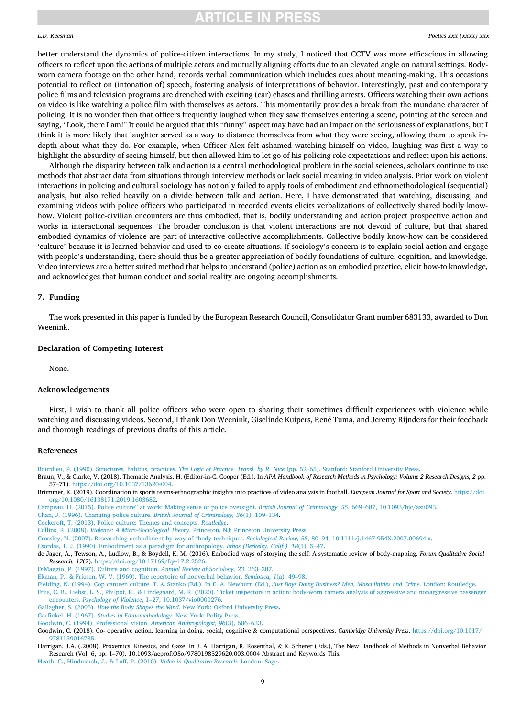#### <span id="page-8-0"></span>*L.D. Keesman*

better understand the dynamics of police-citizen interactions. In my study, I noticed that CCTV was more efficacious in allowing officers to reflect upon the actions of multiple actors and mutually aligning efforts due to an elevated angle on natural settings. Bodyworn camera footage on the other hand, records verbal communication which includes cues about meaning-making. This occasions potential to reflect on (intonation of) speech, fostering analysis of interpretations of behavior. Interestingly, past and contemporary police films and television programs are drenched with exciting (car) chases and thrilling arrests. Officers watching their own actions on video is like watching a police film with themselves as actors. This momentarily provides a break from the mundane character of policing. It is no wonder then that officers frequently laughed when they saw themselves entering a scene, pointing at the screen and saying, "Look, there I am!" It could be argued that this "funny" aspect may have had an impact on the seriousness of explanations, but I think it is more likely that laughter served as a way to distance themselves from what they were seeing, allowing them to speak indepth about what they do. For example, when Officer Alex felt ashamed watching himself on video, laughing was first a way to highlight the absurdity of seeing himself, but then allowed him to let go of his policing role expectations and reflect upon his actions.

Although the disparity between talk and action is a central methodological problem in the social sciences, scholars continue to use methods that abstract data from situations through interview methods or lack social meaning in video analysis. Prior work on violent interactions in policing and cultural sociology has not only failed to apply tools of embodiment and ethnomethodological (sequential) analysis, but also relied heavily on a divide between talk and action. Here, I have demonstrated that watching, discussing, and examining videos with police officers who participated in recorded events elicits verbalizations of collectively shared bodily knowhow. Violent police-civilian encounters are thus embodied, that is, bodily understanding and action project prospective action and works in interactional sequences. The broader conclusion is that violent interactions are not devoid of culture, but that shared embodied dynamics of violence are part of interactive collective accomplishments. Collective bodily know-how can be considered 'culture' because it is learned behavior and used to co-create situations. If sociology's concern is to explain social action and engage with people's understanding, there should thus be a greater appreciation of bodily foundations of culture, cognition, and knowledge. Video interviews are a better suited method that helps to understand (police) action as an embodied practice, elicit how-to knowledge, and acknowledges that human conduct and social reality are ongoing accomplishments.

### **7. Funding**

The work presented in this paper is funded by the European Research Council, Consolidator Grant number 683133, awarded to Don Weenink.

### **Declaration of Competing Interest**

None.

### **Acknowledgements**

First, I wish to thank all police officers who were open to sharing their sometimes difficult experiences with violence while watching and discussing videos. Second, I thank Don Weenink, Giselinde Kuipers, René Tuma, and Jeremy Rijnders for their feedback and thorough readings of previous drafts of this article.

### **References**

[Bourdieu, P. \(1990\). Structures, habitus, practices.](http://refhub.elsevier.com/S0304-422X(21)00044-9/sbref0001) *The Logic of Practice. Transl. by R. Nice* (pp. 52–65). Stanford: Stanford University Press.

Braun, V., & Clarke, V. (2018). Thematic Analysis. H. (Editor-in-C. Cooper (Ed.). In *APA Handbook of Research Methods in Psychology: Volume 2 Research Designs, 2* pp. 57–71). <https://doi.org/10.1037/13620-004>.

Brümmer, K. (2019). Coordination in sports teams-ethnographic insights into practices of video analysis in football. *European Journal for Sport and Society*. [https://doi.](https://doi.org/10.1080/16138171.2019.1603682) [org/10.1080/16138171.2019.1603682.](https://doi.org/10.1080/16138171.2019.1603682)

Campeau, H. (2015). Police culture" [at work: Making sense of police oversight.](http://refhub.elsevier.com/S0304-422X(21)00044-9/sbref0004) *British Journal of Criminology, 55*, 669–687, 10.1093/bjc/azu093.

[Chan, J. \(1996\). Changing police culture.](http://refhub.elsevier.com/S0304-422X(21)00044-9/sbref0005) *British Journal of Criminology, 36*(1), 109–134.

[Cockcroft, T. \(2013\). Police culture: Themes and concepts.](http://refhub.elsevier.com/S0304-422X(21)00044-9/sbref0006) *Routledge*.

- Collins, R. (2008). *Violence: A Micro-Sociological Theory*[. Princeton, NJ: Princeton University Press](http://refhub.elsevier.com/S0304-422X(21)00044-9/sbref0007).
- [Crossley, N. \(2007\). Researching embodiment by way of](http://refhub.elsevier.com/S0304-422X(21)00044-9/sbref0008) "body techniques. *Sociological Review, 55*, 80–94, 10.1111/j.1467-954X.2007.00694.x.

[Csordas, T. J. \(1990\). Embodiment as a paradigm for anthropology.](http://refhub.elsevier.com/S0304-422X(21)00044-9/sbref0009) *Ethos (Berkeley, Calif.), 18*(1), 5–47.

de Jager, A., Tewson, A., Ludlow, B., & Boydell, K. M. (2016). Embodied ways of storying the self: A systematic review of body-mapping. *Forum Qualitative Social Research, 17*(2). <https://doi.org/10.17169/fqs-17.2.2526>.

[DiMaggio, P. \(1997\). Culture and cognition.](http://refhub.elsevier.com/S0304-422X(21)00044-9/sbref0011) *Annual Review of Sociology, 23*, 263–287.

[Ekman, P., & Friesen, W. V. \(1969\). The repertoire of nonverbal behavior.](http://refhub.elsevier.com/S0304-422X(21)00044-9/sbref0012) *Semiotica, 1*(a), 49–98.

Fielding, N. (1994). Cop canteen culture. T. & Stanko (Ed.). In E. A. Newburn (Ed.), *[Just Boys Doing Business? Men, Masculinities and Crime](http://refhub.elsevier.com/S0304-422X(21)00044-9/sbref0013)*. London: Routledge.

[Friis, C. B., Liebst, L. S., Philpot, R., & Lindegaard, M. R. \(2020\). Ticket inspectors in action: body-worn camera analysis of aggressive and nonaggressive passenger](http://refhub.elsevier.com/S0304-422X(21)00044-9/sbref0014) encounters. *Psychology of Violence*, 1–[27, 10.1037/vio0000276](http://refhub.elsevier.com/S0304-422X(21)00044-9/sbref0014).

Gallagher, S. (2005). *How the Body Shapes the Mind*[. New York: Oxford University Press.](http://refhub.elsevier.com/S0304-422X(21)00044-9/sbref0015)

- Garfinkel, H. (1967). *[Studies in Ethnomethodology](http://refhub.elsevier.com/S0304-422X(21)00044-9/sbref0016)*. New York: Polity Press.
- [Goodwin, C. \(1994\). Professional vision.](http://refhub.elsevier.com/S0304-422X(21)00044-9/sbref0017) *American Anthropologist, 96*(3), 606–633.
- Goodwin, C. (2018). Co- operative action. learning in doing. social, cognitive & computational perspectives. *Cambridge University Press*. [https://doi.org/10.1017/](https://doi.org/10.1017/9781139016735)  [9781139016735.](https://doi.org/10.1017/9781139016735)

Harrigan, J.A. (.2008). Proxemics, Kinesics, and Gaze. In J. A. Harrigan, R. Rosenthal, & K. Scherer (Eds.), The New Handbook of Methods in Nonverbal Behavior Research (Vol. 6, pp. 1–70). 10.1093/acprof:OSo/9780198529620.003.0004 Abstract and Keywords This.

[Heath, C., Hindmarsh, J., & Luff, P. \(2010\).](http://refhub.elsevier.com/S0304-422X(21)00044-9/sbref0020) *Video in Qualitative Research*. London: Sage.